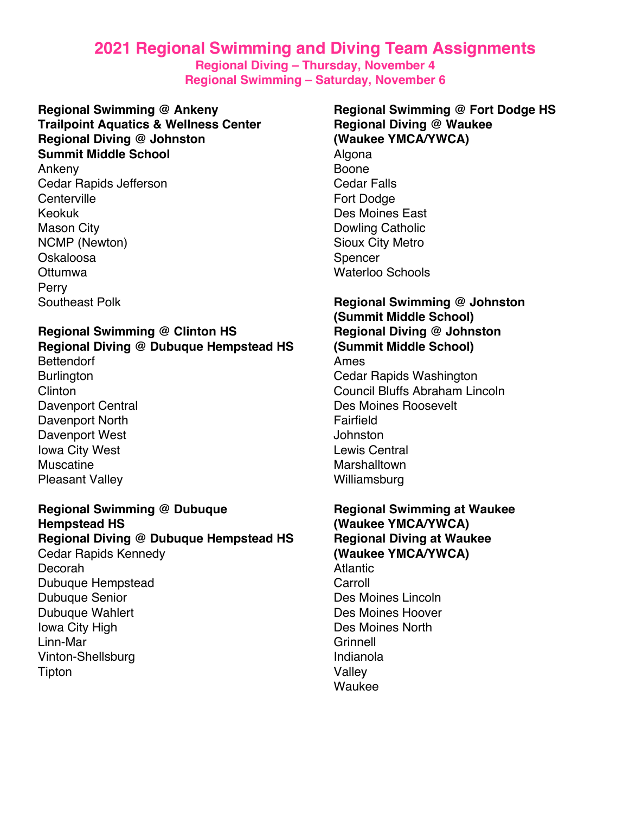# **2021 Regional Swimming and Diving Team Assignments**

**Regional Diving – Thursday, November 4 Regional Swimming – Saturday, November 6**

**Regional Swimming @ Ankeny Trailpoint Aquatics & Wellness Center Regional Diving @ Johnston Summit Middle School** Ankeny

Cedar Rapids Jefferson **Centerville** Keokuk Mason City NCMP (Newton) Oskaloosa **Ottumwa** Perry Southeast Polk

### **Regional Swimming @ Clinton HS Regional Diving @ Dubuque Hempstead HS**

**Bettendorf Burlington** Clinton Davenport Central Davenport North Davenport West Iowa City West Muscatine Pleasant Valley

### **Regional Swimming @ Dubuque Hempstead HS Regional Diving @ Dubuque Hempstead HS** Cedar Rapids Kennedy Decorah Dubuque Hempstead Dubuque Senior Dubuque Wahlert Iowa City High Linn-Mar Vinton-Shellsburg Tipton

## **Regional Swimming @ Fort Dodge HS Regional Diving @ Waukee (Waukee YMCA/YWCA)** Algona

Boone Cedar Falls Fort Dodge Des Moines East Dowling Catholic Sioux City Metro Spencer Waterloo Schools

### **Regional Swimming @ Johnston (Summit Middle School) Regional Diving @ Johnston (Summit Middle School)** Ames Cedar Rapids Washington Council Bluffs Abraham Lincoln Des Moines Roosevelt Fairfield **Johnston** Lewis Central **Marshalltown** Williamsburg

### **Regional Swimming at Waukee (Waukee YMCA/YWCA) Regional Diving at Waukee (Waukee YMCA/YWCA)** Atlantic Carroll Des Moines Lincoln Des Moines Hoover Des Moines North **Grinnell** Indianola Valley Waukee